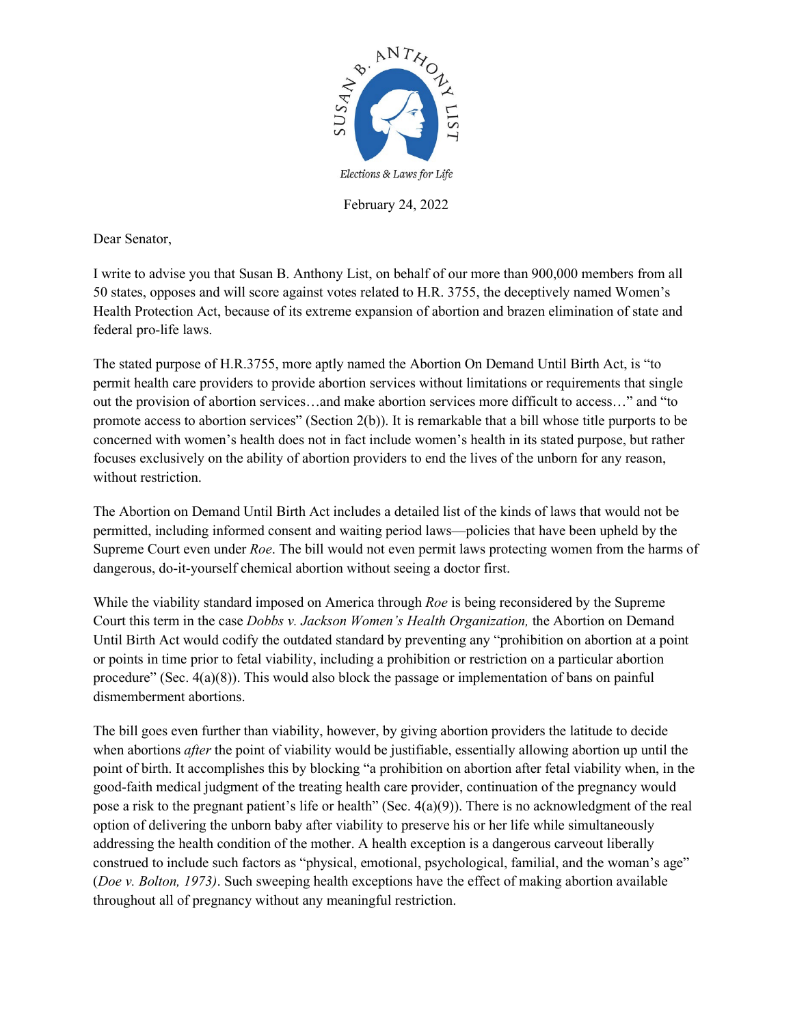

February 24, 2022

Dear Senator,

I write to advise you that Susan B. Anthony List, on behalf of our more than 900,000 members from all 50 states, opposes and will score against votes related to H.R. 3755, the deceptively named Women's Health Protection Act, because of its extreme expansion of abortion and brazen elimination of state and federal pro-life laws.

The stated purpose of H.R.3755, more aptly named the Abortion On Demand Until Birth Act, is "to permit health care providers to provide abortion services without limitations or requirements that single out the provision of abortion services…and make abortion services more difficult to access…" and "to promote access to abortion services" (Section 2(b)). It is remarkable that a bill whose title purports to be concerned with women's health does not in fact include women's health in its stated purpose, but rather focuses exclusively on the ability of abortion providers to end the lives of the unborn for any reason, without restriction.

The Abortion on Demand Until Birth Act includes a detailed list of the kinds of laws that would not be permitted, including informed consent and waiting period laws—policies that have been upheld by the Supreme Court even under *Roe*. The bill would not even permit laws protecting women from the harms of dangerous, do-it-yourself chemical abortion without seeing a doctor first.

While the viability standard imposed on America through *Roe* is being reconsidered by the Supreme Court this term in the case *Dobbs v. Jackson Women's Health Organization,* the Abortion on Demand Until Birth Act would codify the outdated standard by preventing any "prohibition on abortion at a point or points in time prior to fetal viability, including a prohibition or restriction on a particular abortion procedure" (Sec. 4(a)(8)). This would also block the passage or implementation of bans on painful dismemberment abortions.

The bill goes even further than viability, however, by giving abortion providers the latitude to decide when abortions *after* the point of viability would be justifiable, essentially allowing abortion up until the point of birth. It accomplishes this by blocking "a prohibition on abortion after fetal viability when, in the good-faith medical judgment of the treating health care provider, continuation of the pregnancy would pose a risk to the pregnant patient's life or health" (Sec. 4(a)(9)). There is no acknowledgment of the real option of delivering the unborn baby after viability to preserve his or her life while simultaneously addressing the health condition of the mother. A health exception is a dangerous carveout liberally construed to include such factors as "physical, emotional, psychological, familial, and the woman's age" (*Doe v. Bolton, 1973)*. Such sweeping health exceptions have the effect of making abortion available throughout all of pregnancy without any meaningful restriction.